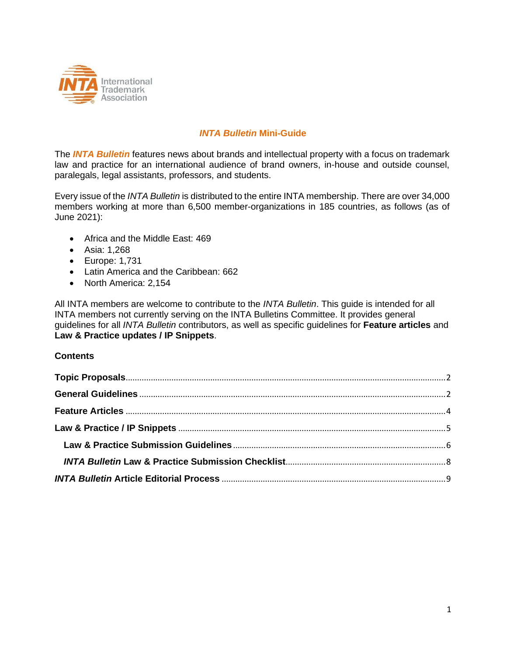

# *INTA Bulletin* **Mini-Guide**

The *INTA Bulletin* features news about brands and intellectual property with a focus on trademark law and practice for an international audience of brand owners, in-house and outside counsel, paralegals, legal assistants, professors, and students.

Every issue of the *INTA Bulletin* is distributed to the entire INTA membership. There are over 34,000 members working at more than 6,500 member-organizations in 185 countries, as follows (as of June 2021):

- Africa and the Middle East: 469
- Asia: 1,268
- Europe: 1,731
- Latin America and the Caribbean: 662
- North America: 2,154

All INTA members are welcome to contribute to the *INTA Bulletin*. This guide is intended for all INTA members not currently serving on the INTA Bulletins Committee. It provides general guidelines for all *INTA Bulletin* contributors, as well as specific guidelines for **Feature articles** and **Law & Practice updates / IP Snippets**.

#### **Contents**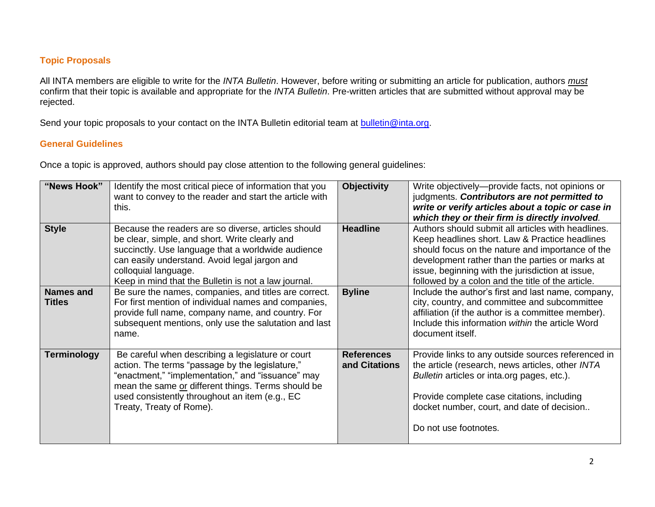## **Topic Proposals**

All INTA members are eligible to write for the *INTA Bulletin*. However, before writing or submitting an article for publication, authors *must* confirm that their topic is available and appropriate for the *INTA Bulletin*. Pre-written articles that are submitted without approval may be rejected.

Send your topic proposals to your contact on the INTA Bulletin editorial team at **bulletin@inta.org**.

### **General Guidelines**

Once a topic is approved, authors should pay close attention to the following general guidelines:

<span id="page-1-1"></span><span id="page-1-0"></span>

| "News Hook"                       | Identify the most critical piece of information that you<br>want to convey to the reader and start the article with<br>this.                                                                                                                                                                  | <b>Objectivity</b>                 | Write objectively—provide facts, not opinions or<br>judgments. Contributors are not permitted to<br>write or verify articles about a topic or case in<br>which they or their firm is directly involved.                                                                                                              |
|-----------------------------------|-----------------------------------------------------------------------------------------------------------------------------------------------------------------------------------------------------------------------------------------------------------------------------------------------|------------------------------------|----------------------------------------------------------------------------------------------------------------------------------------------------------------------------------------------------------------------------------------------------------------------------------------------------------------------|
| <b>Style</b>                      | Because the readers are so diverse, articles should<br>be clear, simple, and short. Write clearly and<br>succinctly. Use language that a worldwide audience<br>can easily understand. Avoid legal jargon and<br>colloquial language.<br>Keep in mind that the Bulletin is not a law journal.  | <b>Headline</b>                    | Authors should submit all articles with headlines.<br>Keep headlines short. Law & Practice headlines<br>should focus on the nature and importance of the<br>development rather than the parties or marks at<br>issue, beginning with the jurisdiction at issue,<br>followed by a colon and the title of the article. |
| <b>Names and</b><br><b>Titles</b> | Be sure the names, companies, and titles are correct.<br>For first mention of individual names and companies,<br>provide full name, company name, and country. For<br>subsequent mentions, only use the salutation and last<br>name.                                                          | <b>Byline</b>                      | Include the author's first and last name, company,<br>city, country, and committee and subcommittee<br>affiliation (if the author is a committee member).<br>Include this information within the article Word<br>document itself.                                                                                    |
| <b>Terminology</b>                | Be careful when describing a legislature or court<br>action. The terms "passage by the legislature,"<br>"enactment," "implementation," and "issuance" may<br>mean the same or different things. Terms should be<br>used consistently throughout an item (e.g., EC<br>Treaty, Treaty of Rome). | <b>References</b><br>and Citations | Provide links to any outside sources referenced in<br>the article (research, news articles, other INTA<br>Bulletin articles or inta.org pages, etc.).<br>Provide complete case citations, including<br>docket number, court, and date of decision<br>Do not use footnotes.                                           |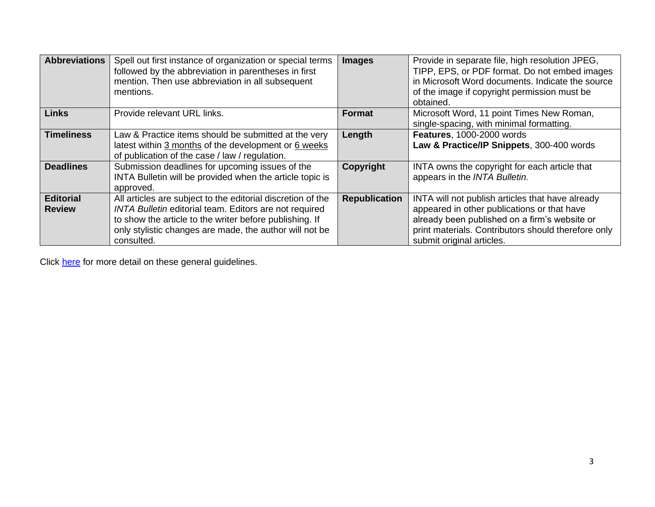| <b>Abbreviations</b>              | Spell out first instance of organization or special terms<br>followed by the abbreviation in parentheses in first<br>mention. Then use abbreviation in all subsequent<br>mentions.                                                                        | <b>Images</b>        | Provide in separate file, high resolution JPEG,<br>TIPP, EPS, or PDF format. Do not embed images<br>in Microsoft Word documents. Indicate the source<br>of the image if copyright permission must be<br>obtained.                    |
|-----------------------------------|-----------------------------------------------------------------------------------------------------------------------------------------------------------------------------------------------------------------------------------------------------------|----------------------|--------------------------------------------------------------------------------------------------------------------------------------------------------------------------------------------------------------------------------------|
| <b>Links</b>                      | Provide relevant URL links.                                                                                                                                                                                                                               | <b>Format</b>        | Microsoft Word, 11 point Times New Roman,<br>single-spacing, with minimal formatting.                                                                                                                                                |
| <b>Timeliness</b>                 | Law & Practice items should be submitted at the very<br>latest within 3 months of the development or 6 weeks<br>of publication of the case / law / regulation.                                                                                            | Length               | Features, 1000-2000 words<br>Law & Practice/IP Snippets, 300-400 words                                                                                                                                                               |
| <b>Deadlines</b>                  | Submission deadlines for upcoming issues of the<br>INTA Bulletin will be provided when the article topic is<br>approved.                                                                                                                                  | Copyright            | INTA owns the copyright for each article that<br>appears in the INTA Bulletin.                                                                                                                                                       |
| <b>Editorial</b><br><b>Review</b> | All articles are subject to the editorial discretion of the<br>INTA Bulletin editorial team. Editors are not required<br>to show the article to the writer before publishing. If<br>only stylistic changes are made, the author will not be<br>consulted. | <b>Republication</b> | INTA will not publish articles that have already<br>appeared in other publications or that have<br>already been published on a firm's website or<br>print materials. Contributors should therefore only<br>submit original articles. |

Click [here](http://www.inta.org/INTABulletin/Pages/Submissions.aspx) for more detail on these general guidelines.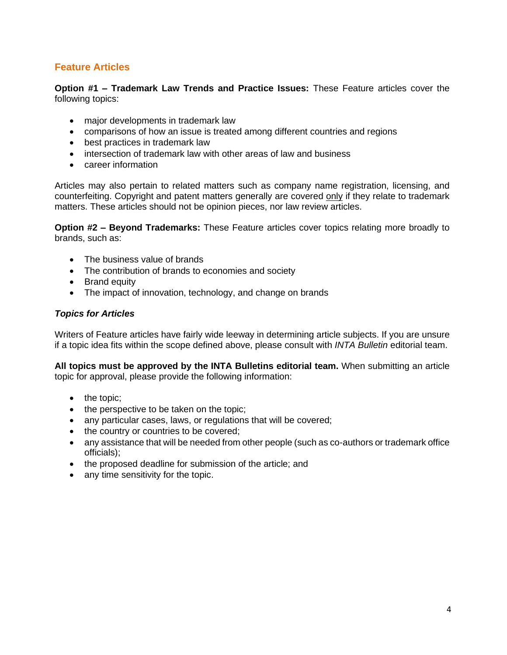# <span id="page-3-0"></span>**Feature Articles**

**Option #1 – Trademark Law Trends and Practice Issues:** These Feature articles cover the following topics:

- major developments in trademark law
- comparisons of how an issue is treated among different countries and regions
- best practices in trademark law
- intersection of trademark law with other areas of law and business
- career information

Articles may also pertain to related matters such as company name registration, licensing, and counterfeiting. Copyright and patent matters generally are covered only if they relate to trademark matters. These articles should not be opinion pieces, nor law review articles.

**Option #2 – Beyond Trademarks:** These Feature articles cover topics relating more broadly to brands, such as:

- The business value of brands
- The contribution of brands to economies and society
- Brand equity
- The impact of innovation, technology, and change on brands

#### *Topics for Articles*

Writers of Feature articles have fairly wide leeway in determining article subjects. If you are unsure if a topic idea fits within the scope defined above, please consult with *INTA Bulletin* editorial team.

**All topics must be approved by the INTA Bulletins editorial team.** When submitting an article topic for approval, please provide the following information:

- the topic;
- the perspective to be taken on the topic;
- any particular cases, laws, or regulations that will be covered;
- the country or countries to be covered;
- any assistance that will be needed from other people (such as co-authors or trademark office officials);
- the proposed deadline for submission of the article; and
- any time sensitivity for the topic.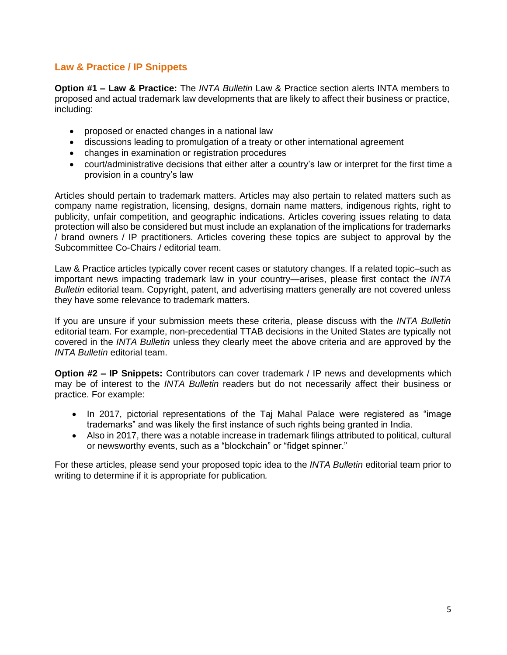# <span id="page-4-0"></span>**Law & Practice / IP Snippets**

**Option #1 – Law & Practice:** The *INTA Bulletin* Law & Practice section alerts INTA members to proposed and actual trademark law developments that are likely to affect their business or practice, including:

- proposed or enacted changes in a national law
- discussions leading to promulgation of a treaty or other international agreement
- changes in examination or registration procedures
- court/administrative decisions that either alter a country's law or interpret for the first time a provision in a country's law

Articles should pertain to trademark matters. Articles may also pertain to related matters such as company name registration, licensing, designs, domain name matters, indigenous rights, right to publicity, unfair competition, and geographic indications. Articles covering issues relating to data protection will also be considered but must include an explanation of the implications for trademarks / brand owners / IP practitioners. Articles covering these topics are subject to approval by the Subcommittee Co-Chairs / editorial team.

Law & Practice articles typically cover recent cases or statutory changes. If a related topic–such as important news impacting trademark law in your country—arises, please first contact the *INTA Bulletin* editorial team. Copyright, patent, and advertising matters generally are not covered unless they have some relevance to trademark matters.

If you are unsure if your submission meets these criteria, please discuss with the *INTA Bulletin* editorial team. For example, non-precedential TTAB decisions in the United States are typically not covered in the *INTA Bulletin* unless they clearly meet the above criteria and are approved by the *INTA Bulletin* editorial team.

**Option #2 – IP Snippets:** Contributors can cover trademark / IP news and developments which may be of interest to the *INTA Bulletin* readers but do not necessarily affect their business or practice. For example:

- In 2017, pictorial representations of the Taj Mahal Palace were registered as "image trademarks" and was likely the first instance of such rights being granted in India.
- Also in 2017, there was a notable increase in trademark filings attributed to political, cultural or newsworthy events, such as a "blockchain" or "fidget spinner."

For these articles, please send your proposed topic idea to the *INTA Bulletin* editorial team prior to writing to determine if it is appropriate for publication*.*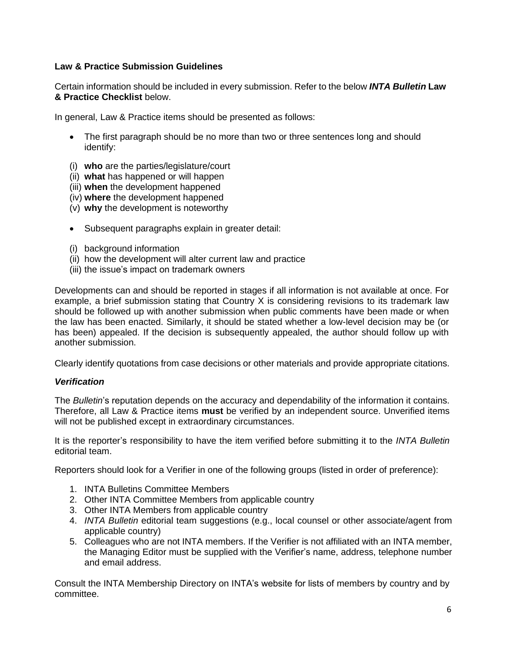## <span id="page-5-0"></span>**Law & Practice Submission Guidelines**

Certain information should be included in every submission. Refer to the below *INTA Bulletin* **Law & Practice Checklist** below.

In general, Law & Practice items should be presented as follows:

- The first paragraph should be no more than two or three sentences long and should identify:
- (i) **who** are the parties/legislature/court
- (ii) **what** has happened or will happen
- (iii) **when** the development happened
- (iv) **where** the development happened
- (v) **why** the development is noteworthy
- Subsequent paragraphs explain in greater detail:
- (i) background information
- (ii) how the development will alter current law and practice
- (iii) the issue's impact on trademark owners

Developments can and should be reported in stages if all information is not available at once. For example, a brief submission stating that Country X is considering revisions to its trademark law should be followed up with another submission when public comments have been made or when the law has been enacted. Similarly, it should be stated whether a low-level decision may be (or has been) appealed. If the decision is subsequently appealed, the author should follow up with another submission.

Clearly identify quotations from case decisions or other materials and provide appropriate citations.

### <span id="page-5-1"></span>*Verification*

The *Bulletin*'s reputation depends on the accuracy and dependability of the information it contains. Therefore, all Law & Practice items **must** be verified by an independent source. Unverified items will not be published except in extraordinary circumstances.

It is the reporter's responsibility to have the item verified before submitting it to the *INTA Bulletin*  editorial team.

Reporters should look for a Verifier in one of the following groups (listed in order of preference):

- 1. INTA Bulletins Committee Members
- 2. Other INTA Committee Members from applicable country
- 3. Other INTA Members from applicable country
- 4. *INTA Bulletin* editorial team suggestions (e.g., local counsel or other associate/agent from applicable country)
- 5. Colleagues who are not INTA members. If the Verifier is not affiliated with an INTA member, the Managing Editor must be supplied with the Verifier's name, address, telephone number and email address.

Consult the INTA Membership Directory on INTA's website for lists of members by country and by committee.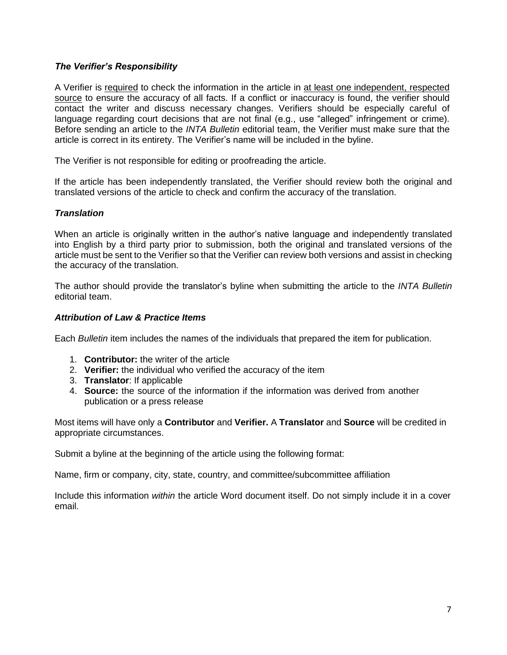## *The Verifier's Responsibility*

A Verifier is required to check the information in the article in at least one independent, respected source to ensure the accuracy of all facts. If a conflict or inaccuracy is found, the verifier should contact the writer and discuss necessary changes. Verifiers should be especially careful of language regarding court decisions that are not final (e.g., use "alleged" infringement or crime). Before sending an article to the *INTA Bulletin* editorial team, the Verifier must make sure that the article is correct in its entirety. The Verifier's name will be included in the byline.

The Verifier is not responsible for editing or proofreading the article.

If the article has been independently translated, the Verifier should review both the original and translated versions of the article to check and confirm the accuracy of the translation.

### *Translation*

When an article is originally written in the author's native language and independently translated into English by a third party prior to submission, both the original and translated versions of the article must be sent to the Verifier so that the Verifier can review both versions and assist in checking the accuracy of the translation.

The author should provide the translator's byline when submitting the article to the *INTA Bulletin*  editorial team.

### *Attribution of Law & Practice Items*

Each *Bulletin* item includes the names of the individuals that prepared the item for publication.

- 1. **Contributor:** the writer of the article
- 2. **Verifier:** the individual who verified the accuracy of the item
- 3. **Translator**: If applicable
- 4. **Source:** the source of the information if the information was derived from another publication or a press release

Most items will have only a **Contributor** and **Verifier.** A **Translator** and **Source** will be credited in appropriate circumstances.

Submit a byline at the beginning of the article using the following format:

Name, firm or company, city, state, country, and committee/subcommittee affiliation

Include this information *within* the article Word document itself. Do not simply include it in a cover email.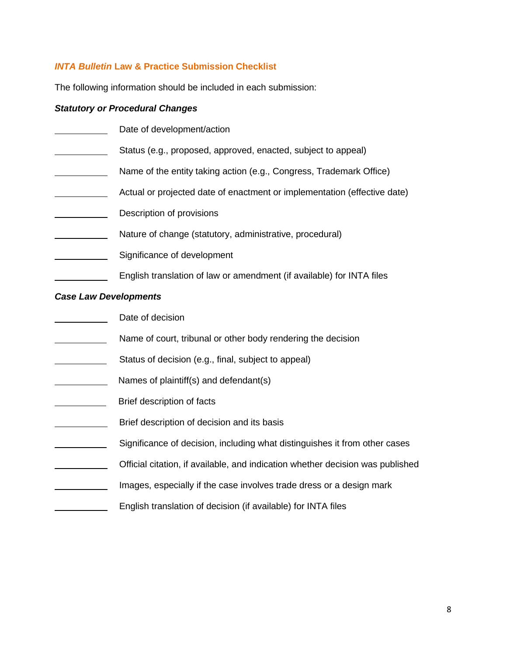# <span id="page-7-0"></span>*INTA Bulletin* **Law & Practice Submission Checklist**

The following information should be included in each submission:

# *Statutory or Procedural Changes*

|                              | Date of development/action                                                     |
|------------------------------|--------------------------------------------------------------------------------|
|                              | Status (e.g., proposed, approved, enacted, subject to appeal)                  |
|                              | Name of the entity taking action (e.g., Congress, Trademark Office)            |
|                              | Actual or projected date of enactment or implementation (effective date)       |
|                              | Description of provisions                                                      |
|                              | Nature of change (statutory, administrative, procedural)                       |
|                              | Significance of development                                                    |
|                              | English translation of law or amendment (if available) for INTA files          |
| <b>Case Law Developments</b> |                                                                                |
|                              | Date of decision                                                               |
|                              | Name of court, tribunal or other body rendering the decision                   |
|                              | Status of decision (e.g., final, subject to appeal)                            |
|                              | Names of plaintiff(s) and defendant(s)                                         |
|                              | Brief description of facts                                                     |
|                              | Brief description of decision and its basis                                    |
|                              | Significance of decision, including what distinguishes it from other cases     |
|                              | Official citation, if available, and indication whether decision was published |
|                              | Images, especially if the case involves trade dress or a design mark           |
|                              | English translation of decision (if available) for INTA files                  |